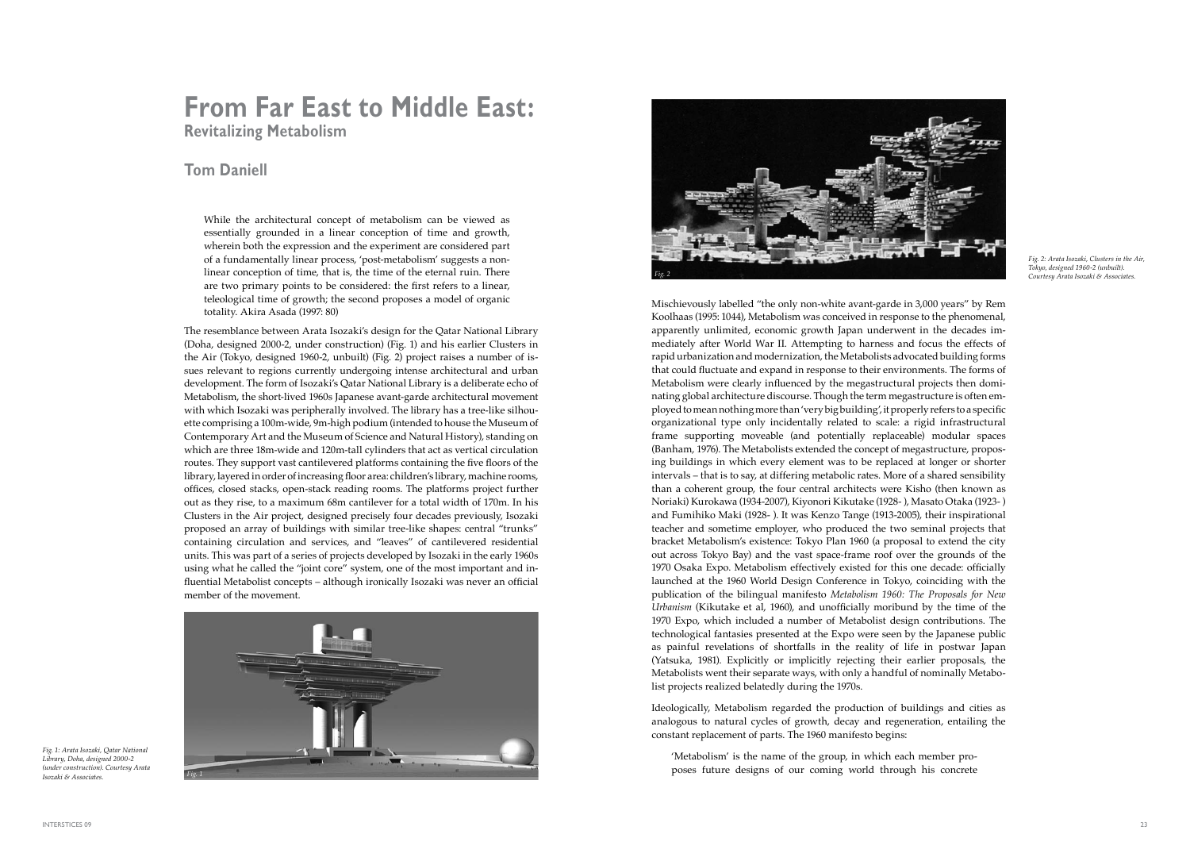# **From Far East to Middle East: Revitalizing Metabolism**

## **Tom Daniell**

While the architectural concept of metabolism can be viewed as essentially grounded in a linear conception of time and growth, wherein both the expression and the experiment are considered part of a fundamentally linear process, 'post-metabolism' suggests a nonlinear conception of time, that is, the time of the eternal ruin. There are two primary points to be considered: the first refers to a linear, teleological time of growth; the second proposes a model of organic totality. Akira Asada (1997: 80)

The resemblance between Arata Isozaki's design for the Qatar National Library (Doha, designed 2000-2, under construction) (Fig. 1) and his earlier Clusters in the Air (Tokyo, designed 1960-2, unbuilt) (Fig. 2) project raises a number of issues relevant to regions currently undergoing intense architectural and urban development. The form of Isozaki's Qatar National Library is a deliberate echo of Metabolism, the short-lived 1960s Japanese avant-garde architectural movement with which Isozaki was peripherally involved. The library has a tree-like silhouette comprising a 100m-wide, 9m-high podium (intended to house the Museum of Contemporary Art and the Museum of Science and Natural History), standing on which are three 18m-wide and 120m-tall cylinders that act as vertical circulation routes. They support vast cantilevered platforms containing the five floors of the library, layered in order of increasing floor area: children's library, machine rooms, offices, closed stacks, open-stack reading rooms. The platforms project further out as they rise, to a maximum 68m cantilever for a total width of 170m. In his Clusters in the Air project, designed precisely four decades previously, Isozaki proposed an array of buildings with similar tree-like shapes: central "trunks" containing circulation and services, and "leaves" of cantilevered residential units. This was part of a series of projects developed by Isozaki in the early 1960s using what he called the "joint core" system, one of the most important and influential Metabolist concepts – although ironically Isozaki was never an official member of the movement.

Mischievously labelled "the only non-white avant-garde in 3,000 years" by Rem Koolhaas (1995: 1044), Metabolism was conceived in response to the phenomenal, apparently unlimited, economic growth Japan underwent in the decades immediately after World War II. Attempting to harness and focus the effects of rapid urbanization and modernization, the Metabolists advocated building forms that could fluctuate and expand in response to their environments. The forms of Metabolism were clearly influenced by the megastructural projects then dominating global architecture discourse. Though the term megastructure is often employed to mean nothing more than 'very big building', it properly refers to a specific organizational type only incidentally related to scale: a rigid infrastructural frame supporting moveable (and potentially replaceable) modular spaces (Banham, 1976). The Metabolists extended the concept of megastructure, proposing buildings in which every element was to be replaced at longer or shorter intervals – that is to say, at differing metabolic rates. More of a shared sensibility than a coherent group, the four central architects were Kisho (then known as Noriaki) Kurokawa (1934-2007), Kiyonori Kikutake (1928- ), Masato Otaka (1923- ) and Fumihiko Maki (1928- ). It was Kenzo Tange (1913-2005), their inspirational teacher and sometime employer, who produced the two seminal projects that bracket Metabolism's existence: Tokyo Plan 1960 (a proposal to extend the city out across Tokyo Bay) and the vast space-frame roof over the grounds of the 1970 Osaka Expo. Metabolism effectively existed for this one decade: officially launched at the 1960 World Design Conference in Tokyo, coinciding with the publication of the bilingual manifesto *Metabolism 1960: The Proposals for New Urbanism* (Kikutake et al, 1960), and unofficially moribund by the time of the 1970 Expo, which included a number of Metabolist design contributions. The technological fantasies presented at the Expo were seen by the Japanese public as painful revelations of shortfalls in the reality of life in postwar Japan (Yatsuka, 1981). Explicitly or implicitly rejecting their earlier proposals, the Metabolists went their separate ways, with only a handful of nominally Metabolist projects realized belatedly during the 1970s.

Ideologically, Metabolism regarded the production of buildings and cities as analogous to natural cycles of growth, decay and regeneration, entailing the constant replacement of parts. The 1960 manifesto begins:

'Metabolism' is the name of the group, in which each member proposes future designs of our coming world through his concrete



*Fig. 1: Arata Isozaki, Qatar National Library, Doha, designed 2000-2 (under construction). Courtesy Arata Isozaki & Associates.*

*Fig. 2: Arata Isozaki, Clusters in the Air, Tokyo, designed 1960-2 (unbuilt). Courtesy Arata Isozaki & Associates.*

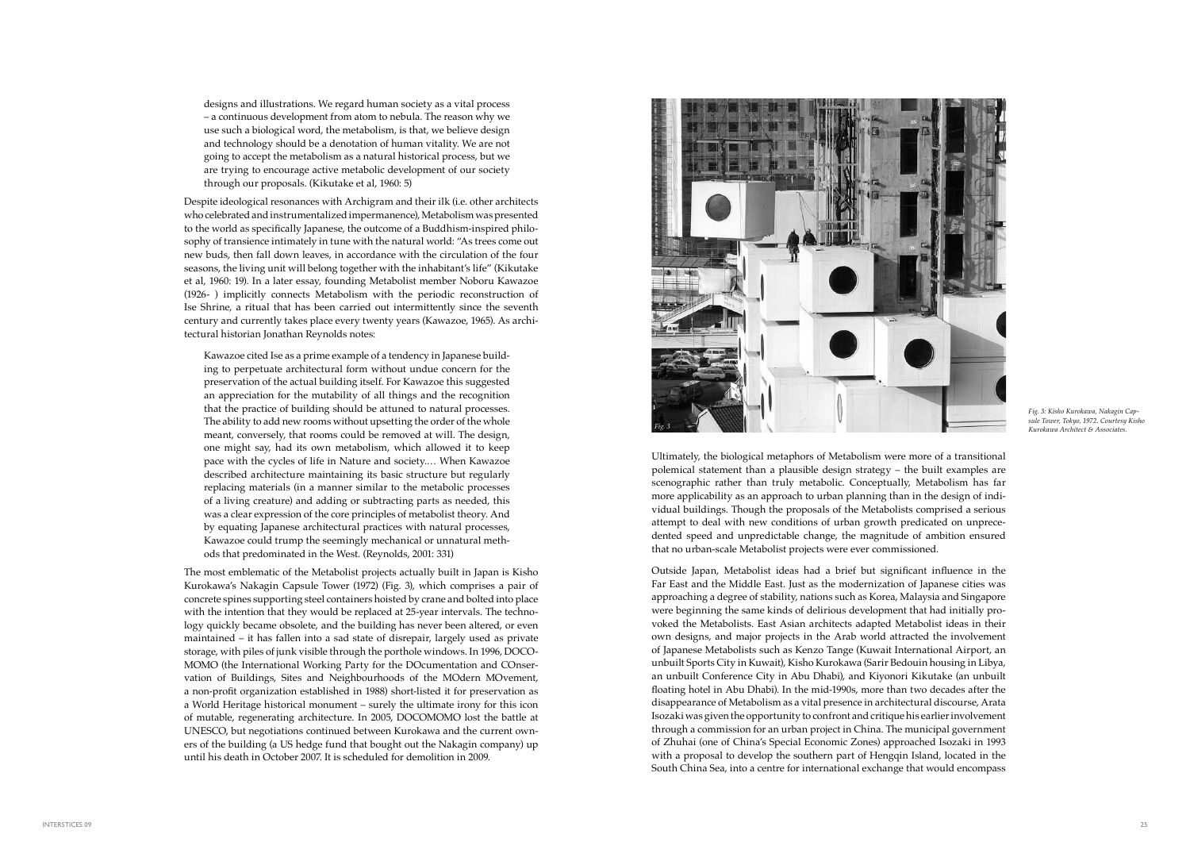Ultimately, the biological metaphors of Metabolism were more of a transitional polemical statement than a plausible design strategy – the built examples are scenographic rather than truly metabolic. Conceptually, Metabolism has far more applicability as an approach to urban planning than in the design of individual buildings. Though the proposals of the Metabolists comprised a serious attempt to deal with new conditions of urban growth predicated on unprecedented speed and unpredictable change, the magnitude of ambition ensured that no urban-scale Metabolist projects were ever commissioned.

Outside Japan, Metabolist ideas had a brief but significant influence in the Far East and the Middle East. Just as the modernization of Japanese cities was approaching a degree of stability, nations such as Korea, Malaysia and Singapore were beginning the same kinds of delirious development that had initially provoked the Metabolists. East Asian architects adapted Metabolist ideas in their own designs, and major projects in the Arab world attracted the involvement of Japanese Metabolists such as Kenzo Tange (Kuwait International Airport, an unbuilt Sports City in Kuwait), Kisho Kurokawa (Sarir Bedouin housing in Libya, an unbuilt Conference City in Abu Dhabi), and Kiyonori Kikutake (an unbuilt floating hotel in Abu Dhabi). In the mid-1990s, more than two decades after the disappearance of Metabolism as a vital presence in architectural discourse, Arata Isozaki was given the opportunity to confront and critique his earlier involvement through a commission for an urban project in China. The municipal government of Zhuhai (one of China's Special Economic Zones) approached Isozaki in 1993 with a proposal to develop the southern part of Hengqin Island, located in the South China Sea, into a centre for international exchange that would encompass

designs and illustrations. We regard human society as a vital process – a continuous development from atom to nebula. The reason why we use such a biological word, the metabolism, is that, we believe design and technology should be a denotation of human vitality. We are not going to accept the metabolism as a natural historical process, but we are trying to encourage active metabolic development of our society through our proposals. (Kikutake et al, 1960: 5)

Despite ideological resonances with Archigram and their ilk (i.e. other architects who celebrated and instrumentalized impermanence), Metabolism was presented to the world as specifically Japanese, the outcome of a Buddhism-inspired philosophy of transience intimately in tune with the natural world: "As trees come out new buds, then fall down leaves, in accordance with the circulation of the four seasons, the living unit will belong together with the inhabitant's life" (Kikutake et al, 1960: 19). In a later essay, founding Metabolist member Noboru Kawazoe (1926- ) implicitly connects Metabolism with the periodic reconstruction of Ise Shrine, a ritual that has been carried out intermittently since the seventh century and currently takes place every twenty years (Kawazoe, 1965). As architectural historian Jonathan Reynolds notes:

Kawazoe cited Ise as a prime example of a tendency in Japanese building to perpetuate architectural form without undue concern for the preservation of the actual building itself. For Kawazoe this suggested an appreciation for the mutability of all things and the recognition that the practice of building should be attuned to natural processes. The ability to add new rooms without upsetting the order of the whole meant, conversely, that rooms could be removed at will. The design, one might say, had its own metabolism, which allowed it to keep pace with the cycles of life in Nature and society.… When Kawazoe described architecture maintaining its basic structure but regularly replacing materials (in a manner similar to the metabolic processes of a living creature) and adding or subtracting parts as needed, this was a clear expression of the core principles of metabolist theory. And by equating Japanese architectural practices with natural processes, Kawazoe could trump the seemingly mechanical or unnatural methods that predominated in the West. (Reynolds, 2001: 331)

The most emblematic of the Metabolist projects actually built in Japan is Kisho Kurokawa's Nakagin Capsule Tower (1972) (Fig. 3), which comprises a pair of concrete spines supporting steel containers hoisted by crane and bolted into place with the intention that they would be replaced at 25-year intervals. The technology quickly became obsolete, and the building has never been altered, or even maintained – it has fallen into a sad state of disrepair, largely used as private storage, with piles of junk visible through the porthole windows. In 1996, DOCO-MOMO (the International Working Party for the DOcumentation and COnservation of Buildings, Sites and Neighbourhoods of the MOdern MOvement, a non-profit organization established in 1988) short-listed it for preservation as a World Heritage historical monument – surely the ultimate irony for this icon of mutable, regenerating architecture. In 2005, DOCOMOMO lost the battle at UNESCO, but negotiations continued between Kurokawa and the current owners of the building (a US hedge fund that bought out the Nakagin company) up until his death in October 2007. It is scheduled for demolition in 2009.



*Fig. 3: Kisho Kurokawa, Nakagin Capsule Tower, Tokyo, 1972. Courtesy Kisho Kurokawa Architect & Associates.*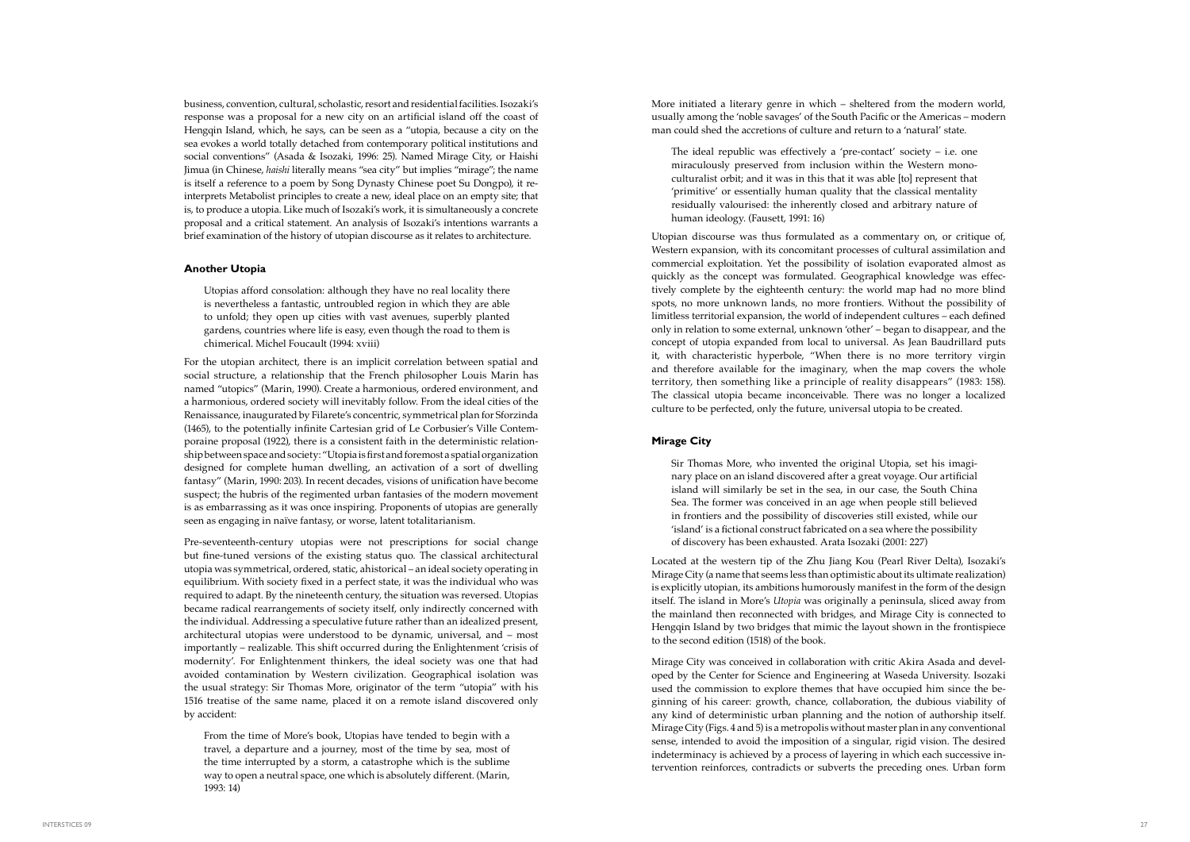More initiated a literary genre in which – sheltered from the modern world, usually among the 'noble savages' of the South Pacific or the Americas – modern man could shed the accretions of culture and return to a 'natural' state.

The ideal republic was effectively a 'pre-contact' society  $-$  i.e. one miraculously preserved from inclusion within the Western monoculturalist orbit; and it was in this that it was able [to] represent that 'primitive' or essentially human quality that the classical mentality residually valourised: the inherently closed and arbitrary nature of human ideology. (Fausett, 1991: 16)

Utopian discourse was thus formulated as a commentary on, or critique of, Western expansion, with its concomitant processes of cultural assimilation and commercial exploitation. Yet the possibility of isolation evaporated almost as quickly as the concept was formulated. Geographical knowledge was effectively complete by the eighteenth century: the world map had no more blind spots, no more unknown lands, no more frontiers. Without the possibility of limitless territorial expansion, the world of independent cultures – each defined only in relation to some external, unknown 'other' – began to disappear, and the concept of utopia expanded from local to universal. As Jean Baudrillard puts it, with characteristic hyperbole, "When there is no more territory virgin and therefore available for the imaginary, when the map covers the whole territory, then something like a principle of reality disappears" (1983: 158). The classical utopia became inconceivable. There was no longer a localized culture to be perfected, only the future, universal utopia to be created.

#### **Mirage City**

Sir Thomas More, who invented the original Utopia, set his imaginary place on an island discovered after a great voyage. Our artificial island will similarly be set in the sea, in our case, the South China Sea. The former was conceived in an age when people still believed in frontiers and the possibility of discoveries still existed, while our 'island' is a fictional construct fabricated on a sea where the possibility of discovery has been exhausted. Arata Isozaki (2001: 227)

Located at the western tip of the Zhu Jiang Kou (Pearl River Delta), Isozaki's Mirage City (a name that seems less than optimistic about its ultimate realization) is explicitly utopian, its ambitions humorously manifest in the form of the design itself. The island in More's *Utopia* was originally a peninsula, sliced away from the mainland then reconnected with bridges, and Mirage City is connected to Hengqin Island by two bridges that mimic the layout shown in the frontispiece to the second edition (1518) of the book.

Mirage City was conceived in collaboration with critic Akira Asada and developed by the Center for Science and Engineering at Waseda University. Isozaki used the commission to explore themes that have occupied him since the beginning of his career: growth, chance, collaboration, the dubious viability of any kind of deterministic urban planning and the notion of authorship itself. Mirage City (Figs. 4 and 5) is a metropolis without master plan in any conventional sense, intended to avoid the imposition of a singular, rigid vision. The desired indeterminacy is achieved by a process of layering in which each successive intervention reinforces, contradicts or subverts the preceding ones. Urban form

business, convention, cultural, scholastic, resort and residential facilities. Isozaki's response was a proposal for a new city on an artificial island off the coast of Hengqin Island, which, he says, can be seen as a "utopia, because a city on the sea evokes a world totally detached from contemporary political institutions and social conventions" (Asada & Isozaki, 1996: 25). Named Mirage City, or Haishi Jimua (in Chinese, *haishi* literally means "sea city" but implies "mirage"; the name is itself a reference to a poem by Song Dynasty Chinese poet Su Dongpo), it reinterprets Metabolist principles to create a new, ideal place on an empty site; that is, to produce a utopia. Like much of Isozaki's work, it is simultaneously a concrete proposal and a critical statement. An analysis of Isozaki's intentions warrants a brief examination of the history of utopian discourse as it relates to architecture.

### **Another Utopia**

Utopias afford consolation: although they have no real locality there is nevertheless a fantastic, untroubled region in which they are able to unfold; they open up cities with vast avenues, superbly planted gardens, countries where life is easy, even though the road to them is chimerical. Michel Foucault (1994: xviii)

For the utopian architect, there is an implicit correlation between spatial and social structure, a relationship that the French philosopher Louis Marin has named "utopics" (Marin, 1990). Create a harmonious, ordered environment, and a harmonious, ordered society will inevitably follow. From the ideal cities of the Renaissance, inaugurated by Filarete's concentric, symmetrical plan for Sforzinda (1465), to the potentially infinite Cartesian grid of Le Corbusier's Ville Contemporaine proposal (1922), there is a consistent faith in the deterministic relationship between space and society: "Utopia is first and foremost a spatial organization designed for complete human dwelling, an activation of a sort of dwelling fantasy" (Marin, 1990: 203). In recent decades, visions of unification have become suspect; the hubris of the regimented urban fantasies of the modern movement is as embarrassing as it was once inspiring. Proponents of utopias are generally seen as engaging in naïve fantasy, or worse, latent totalitarianism.

Pre-seventeenth-century utopias were not prescriptions for social change but fine-tuned versions of the existing status quo. The classical architectural utopia was symmetrical, ordered, static, ahistorical – an ideal society operating in equilibrium. With society fixed in a perfect state, it was the individual who was required to adapt. By the nineteenth century, the situation was reversed. Utopias became radical rearrangements of society itself, only indirectly concerned with the individual. Addressing a speculative future rather than an idealized present, architectural utopias were understood to be dynamic, universal, and – most importantly – realizable. This shift occurred during the Enlightenment 'crisis of modernity'. For Enlightenment thinkers, the ideal society was one that had avoided contamination by Western civilization. Geographical isolation was the usual strategy: Sir Thomas More, originator of the term "utopia" with his 1516 treatise of the same name, placed it on a remote island discovered only by accident:

From the time of More's book, Utopias have tended to begin with a travel, a departure and a journey, most of the time by sea, most of the time interrupted by a storm, a catastrophe which is the sublime way to open a neutral space, one which is absolutely different. (Marin, 1993: 14)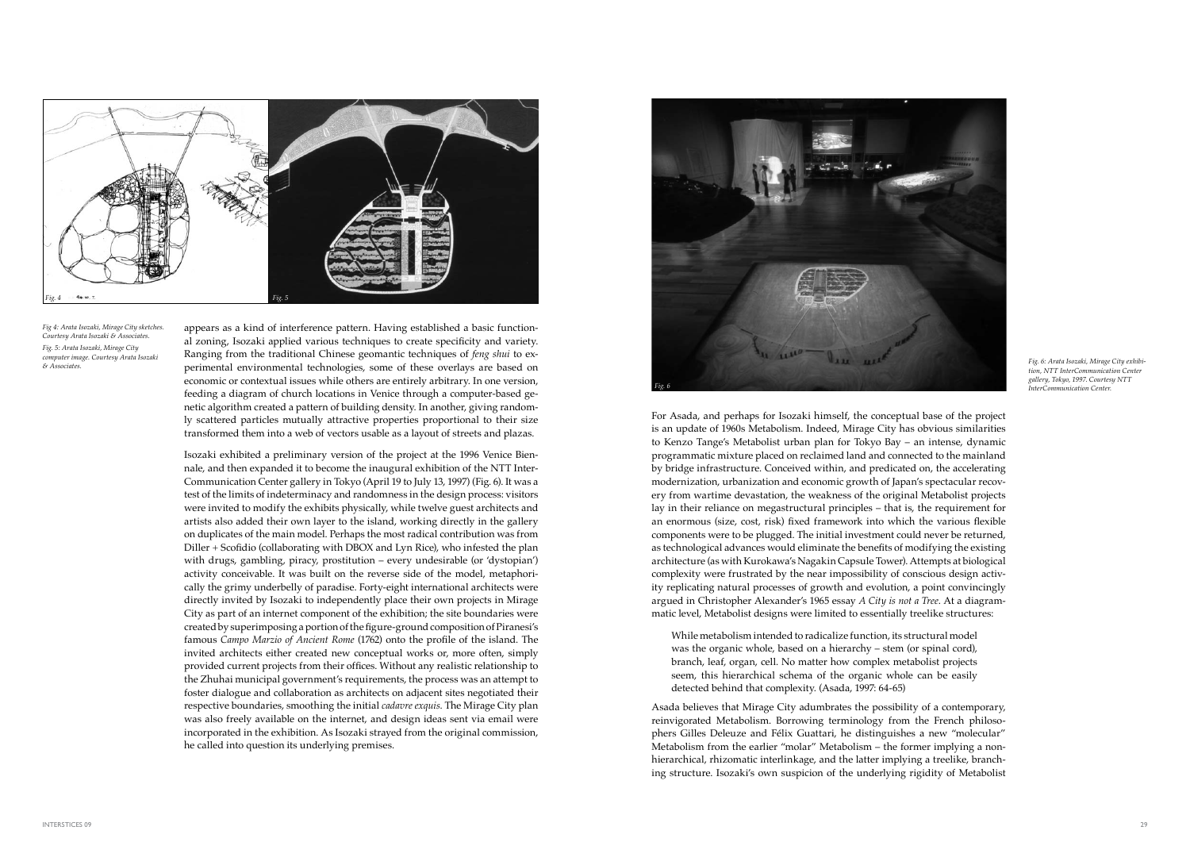For Asada, and perhaps for Isozaki himself, the conceptual base of the project is an update of 1960s Metabolism. Indeed, Mirage City has obvious similarities to Kenzo Tange's Metabolist urban plan for Tokyo Bay – an intense, dynamic programmatic mixture placed on reclaimed land and connected to the mainland by bridge infrastructure. Conceived within, and predicated on, the accelerating modernization, urbanization and economic growth of Japan's spectacular recovery from wartime devastation, the weakness of the original Metabolist projects lay in their reliance on megastructural principles – that is, the requirement for an enormous (size, cost, risk) fixed framework into which the various flexible components were to be plugged. The initial investment could never be returned, as technological advances would eliminate the benefits of modifying the existing architecture (as with Kurokawa's Nagakin Capsule Tower). Attempts at biological complexity were frustrated by the near impossibility of conscious design activity replicating natural processes of growth and evolution, a point convincingly argued in Christopher Alexander's 1965 essay *A City is not a Tree*. At a diagrammatic level, Metabolist designs were limited to essentially treelike structures:

While metabolism intended to radicalize function, its structural model was the organic whole, based on a hierarchy – stem (or spinal cord), branch, leaf, organ, cell. No matter how complex metabolist projects seem, this hierarchical schema of the organic whole can be easily detected behind that complexity. (Asada, 1997: 64-65)

Asada believes that Mirage City adumbrates the possibility of a contemporary, reinvigorated Metabolism. Borrowing terminology from the French philosophers Gilles Deleuze and Félix Guattari, he distinguishes a new "molecular" Metabolism from the earlier "molar" Metabolism – the former implying a nonhierarchical, rhizomatic interlinkage, and the latter implying a treelike, branching structure. Isozaki's own suspicion of the underlying rigidity of Metabolist

appears as a kind of interference pattern. Having established a basic functional zoning, Isozaki applied various techniques to create specificity and variety. Ranging from the traditional Chinese geomantic techniques of *feng shui* to experimental environmental technologies, some of these overlays are based on economic or contextual issues while others are entirely arbitrary. In one version, feeding a diagram of church locations in Venice through a computer-based genetic algorithm created a pattern of building density. In another, giving randomly scattered particles mutually attractive properties proportional to their size transformed them into a web of vectors usable as a layout of streets and plazas.

Isozaki exhibited a preliminary version of the project at the 1996 Venice Biennale, and then expanded it to become the inaugural exhibition of the NTT Inter-Communication Center gallery in Tokyo (April 19 to July 13, 1997) (Fig. 6). It was a test of the limits of indeterminacy and randomness in the design process: visitors were invited to modify the exhibits physically, while twelve guest architects and artists also added their own layer to the island, working directly in the gallery on duplicates of the main model. Perhaps the most radical contribution was from Diller + Scofidio (collaborating with DBOX and Lyn Rice), who infested the plan with drugs, gambling, piracy, prostitution – every undesirable (or 'dystopian') activity conceivable. It was built on the reverse side of the model, metaphorically the grimy underbelly of paradise. Forty-eight international architects were directly invited by Isozaki to independently place their own projects in Mirage City as part of an internet component of the exhibition; the site boundaries were created by superimposing a portion of the figure-ground composition of Piranesi's famous *Campo Marzio of Ancient Rome* (1762) onto the profile of the island. The invited architects either created new conceptual works or, more often, simply provided current projects from their offices. Without any realistic relationship to the Zhuhai municipal government's requirements, the process was an attempt to foster dialogue and collaboration as architects on adjacent sites negotiated their respective boundaries, smoothing the initial *cadavre exquis*. The Mirage City plan was also freely available on the internet, and design ideas sent via email were incorporated in the exhibition. As Isozaki strayed from the original commission, he called into question its underlying premises.



*Fig 4: Arata Isozaki, Mirage City sketches. Courtesy Arata Isozaki & Associates. Fig. 5: Arata Isozaki, Mirage City computer image. Courtesy Arata Isozaki & Associates.*



*Fig. 6: Arata Isozaki, Mirage City exhibition, NTT InterCommunication Center gallery, Tokyo, 1997. Courtesy NTT InterCommunication Center.*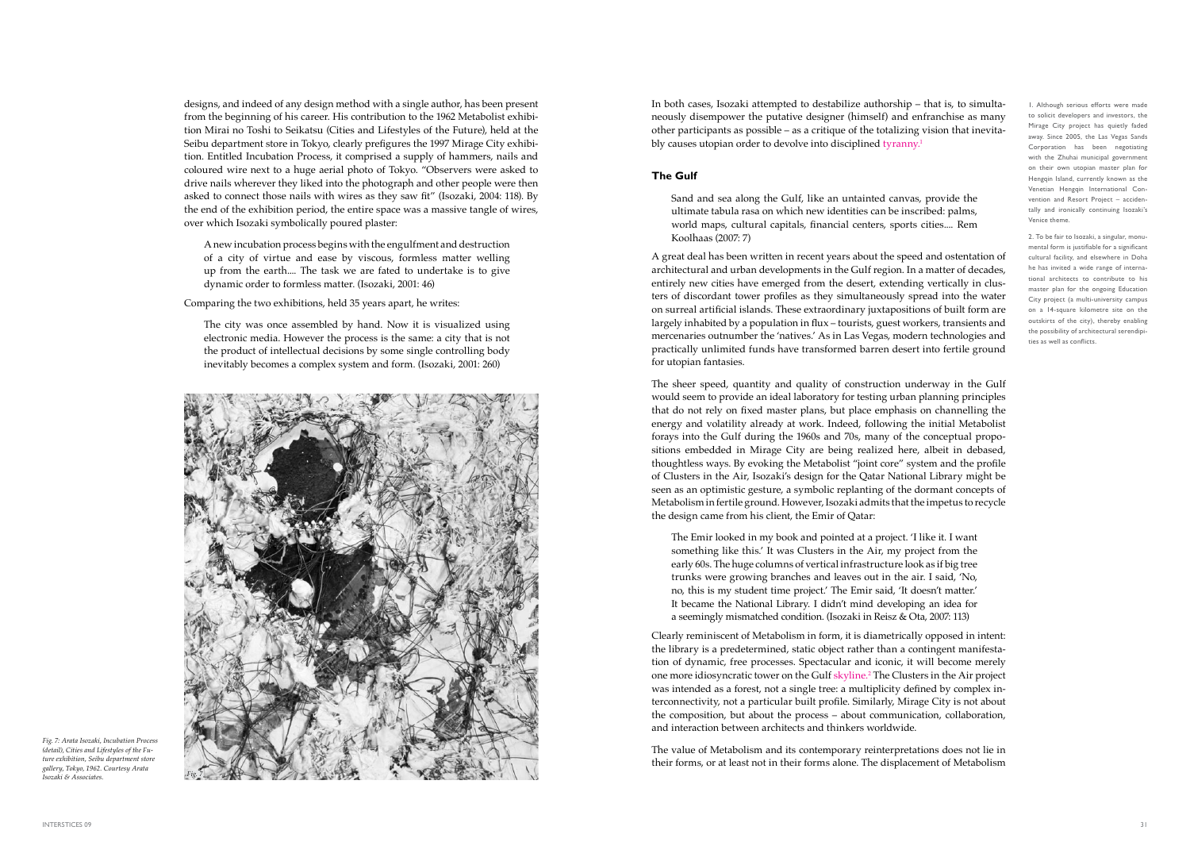In both cases, Isozaki attempted to destabilize authorship – that is, to simultaneously disempower the putative designer (himself) and enfranchise as many other participants as possible – as a critique of the totalizing vision that inevitably causes utopian order to devolve into disciplined tyranny.<sup>1</sup>

### **The Gulf**

Sand and sea along the Gulf, like an untainted canvas, provide the ultimate tabula rasa on which new identities can be inscribed: palms, world maps, cultural capitals, financial centers, sports cities.... Rem Koolhaas (2007: 7)

A great deal has been written in recent years about the speed and ostentation of architectural and urban developments in the Gulf region. In a matter of decades, entirely new cities have emerged from the desert, extending vertically in clusters of discordant tower profiles as they simultaneously spread into the water on surreal artificial islands. These extraordinary juxtapositions of built form are largely inhabited by a population in flux – tourists, guest workers, transients and mercenaries outnumber the 'natives.' As in Las Vegas, modern technologies and practically unlimited funds have transformed barren desert into fertile ground for utopian fantasies.

The sheer speed, quantity and quality of construction underway in the Gulf would seem to provide an ideal laboratory for testing urban planning principles that do not rely on fixed master plans, but place emphasis on channelling the energy and volatility already at work. Indeed, following the initial Metabolist forays into the Gulf during the 1960s and 70s, many of the conceptual propositions embedded in Mirage City are being realized here, albeit in debased, thoughtless ways. By evoking the Metabolist "joint core" system and the profile of Clusters in the Air, Isozaki's design for the Qatar National Library might be seen as an optimistic gesture, a symbolic replanting of the dormant concepts of Metabolism in fertile ground. However, Isozaki admits that the impetus to recycle the design came from his client, the Emir of Qatar:

The Emir looked in my book and pointed at a project. 'I like it. I want something like this.' It was Clusters in the Air, my project from the early 60s. The huge columns of vertical infrastructure look as if big tree trunks were growing branches and leaves out in the air. I said, 'No, no, this is my student time project.' The Emir said, 'It doesn't matter.' It became the National Library. I didn't mind developing an idea for a seemingly mismatched condition. (Isozaki in Reisz & Ota, 2007: 113)

Clearly reminiscent of Metabolism in form, it is diametrically opposed in intent: the library is a predetermined, static object rather than a contingent manifestation of dynamic, free processes. Spectacular and iconic, it will become merely one more idiosyncratic tower on the Gulf skyline.2 The Clusters in the Air project was intended as a forest, not a single tree: a multiplicity defined by complex interconnectivity, not a particular built profile. Similarly, Mirage City is not about the composition, but about the process – about communication, collaboration, and interaction between architects and thinkers worldwide.

The value of Metabolism and its contemporary reinterpretations does not lie in their forms, or at least not in their forms alone. The displacement of Metabolism

designs, and indeed of any design method with a single author, has been present from the beginning of his career. His contribution to the 1962 Metabolist exhibition Mirai no Toshi to Seikatsu (Cities and Lifestyles of the Future), held at the Seibu department store in Tokyo, clearly prefigures the 1997 Mirage City exhibition. Entitled Incubation Process, it comprised a supply of hammers, nails and coloured wire next to a huge aerial photo of Tokyo. "Observers were asked to drive nails wherever they liked into the photograph and other people were then asked to connect those nails with wires as they saw fit" (Isozaki, 2004: 118). By the end of the exhibition period, the entire space was a massive tangle of wires, over which Isozaki symbolically poured plaster:

A new incubation process begins with the engulfment and destruction of a city of virtue and ease by viscous, formless matter welling up from the earth.... The task we are fated to undertake is to give dynamic order to formless matter. (Isozaki, 2001: 46)

Comparing the two exhibitions, held 35 years apart, he writes:

The city was once assembled by hand. Now it is visualized using electronic media. However the process is the same: a city that is not the product of intellectual decisions by some single controlling body inevitably becomes a complex system and form. (Isozaki, 2001: 260)



*Fig. 7: Arata Isozaki, Incubation Process (detail), Cities and Lifestyles of the Future exhibition, Seibu department store gallery, Tokyo, 1962. Courtesy Arata Isozaki & Associates. Fig. 7*

1. Although serious efforts were made to solicit developers and investors, the Mirage City project has quietly faded away. Since 2005, the Las Vegas Sands Corporation has been negotiating with the Zhuhai municipal government on their own utopian master plan for Hengqin Island, currently known as the Venetian Hengqin International Convention and Resort Project – accidentally and ironically continuing Isozaki's Venice theme.

2. To be fair to Isozaki, a singular, monumental form is justifiable for a significant cultural facility, and elsewhere in Doha he has invited a wide range of international architects to contribute to his master plan for the ongoing Education City project (a multi-university campus on a 14-square kilometre site on the outskirts of the city), thereby enabling the possibility of architectural serendipities as well as conflicts.